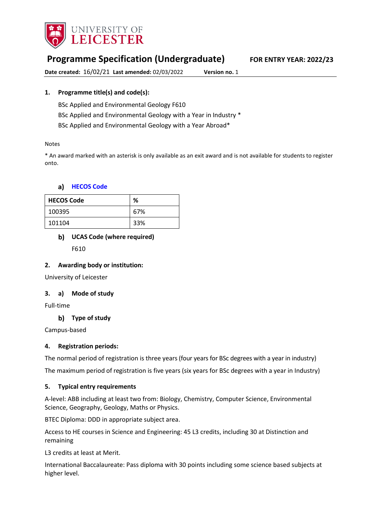

# **Programme Specification (Undergraduate) FOR ENTRY YEAR: 2022/23**

**Date created:** 16/02/21 **Last amended:** 02/03/2022 **Version no.** 1

### **1. Programme title(s) and code(s):**

BSc Applied and Environmental Geology F610

BSc Applied and Environmental Geology with a Year in Industry \*

BSc Applied and Environmental Geology with a Year Abroad\*

#### Notes

\* An award marked with an asterisk is only available as an exit award and is not available for students to register onto.

#### **[HECOS Code](https://www.hesa.ac.uk/innovation/hecos)**

| <b>HECOS Code</b> | %   |
|-------------------|-----|
| 100395            | 67% |
| 101104            | 33% |

### **UCAS Code (where required)**

F610

#### **2. Awarding body or institution:**

University of Leicester

### **3. a) Mode of study**

Full-time

### **Type of study**

Campus-based

### **4. Registration periods:**

The normal period of registration is three years (four years for BSc degrees with a year in industry)

The maximum period of registration is five years (six years for BSc degrees with a year in Industry)

#### **5. Typical entry requirements**

A-level: ABB including at least two from: Biology, Chemistry, Computer Science, Environmental Science, Geography, Geology, Maths or Physics.

BTEC Diploma: DDD in appropriate subject area.

Access to HE courses in Science and Engineering: 45 L3 credits, including 30 at Distinction and remaining

L3 credits at least at Merit.

International Baccalaureate: Pass diploma with 30 points including some science based subjects at higher level.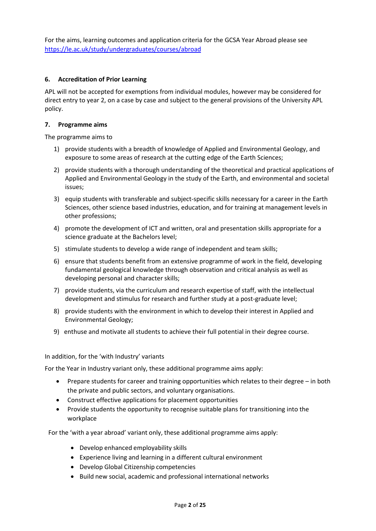For the aims, learning outcomes and application criteria for the GCSA Year Abroad please see <https://le.ac.uk/study/undergraduates/courses/abroad>

#### **6. Accreditation of Prior Learning**

APL will not be accepted for exemptions from individual modules, however may be considered for direct entry to year 2, on a case by case and subject to the general provisions of the University APL policy.

#### **7. Programme aims**

The programme aims to

- 1) provide students with a breadth of knowledge of Applied and Environmental Geology, and exposure to some areas of research at the cutting edge of the Earth Sciences;
- 2) provide students with a thorough understanding of the theoretical and practical applications of Applied and Environmental Geology in the study of the Earth, and environmental and societal issues;
- 3) equip students with transferable and subject-specific skills necessary for a career in the Earth Sciences, other science based industries, education, and for training at management levels in other professions;
- 4) promote the development of ICT and written, oral and presentation skills appropriate for a science graduate at the Bachelors level;
- 5) stimulate students to develop a wide range of independent and team skills;
- 6) ensure that students benefit from an extensive programme of work in the field, developing fundamental geological knowledge through observation and critical analysis as well as developing personal and character skills;
- 7) provide students, via the curriculum and research expertise of staff, with the intellectual development and stimulus for research and further study at a post-graduate level;
- 8) provide students with the environment in which to develop their interest in Applied and Environmental Geology;
- 9) enthuse and motivate all students to achieve their full potential in their degree course.

In addition, for the 'with Industry' variants

For the Year in Industry variant only, these additional programme aims apply:

- Prepare students for career and training opportunities which relates to their degree in both the private and public sectors, and voluntary organisations.
- Construct effective applications for placement opportunities
- Provide students the opportunity to recognise suitable plans for transitioning into the workplace

For the 'with a year abroad' variant only, these additional programme aims apply:

- Develop enhanced employability skills
- Experience living and learning in a different cultural environment
- Develop Global Citizenship competencies
- Build new social, academic and professional international networks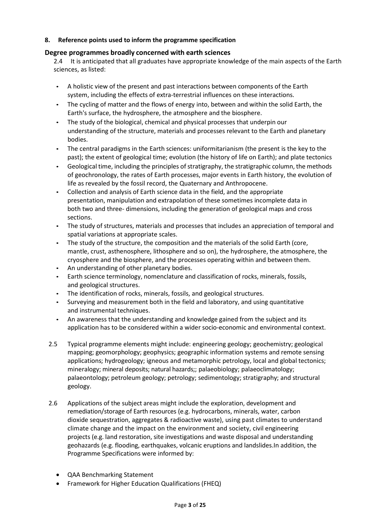### **8. Reference points used to inform the programme specification**

#### **Degree programmes broadly concerned with earth sciences**

2.4 It is anticipated that all graduates have appropriate knowledge of the main aspects of the Earth sciences, as listed:

- A holistic view of the present and past interactions between components of the Earth system, including the effects of extra-terrestrial influences on these interactions.
- The cycling of matter and the flows of energy into, between and within the solid Earth, the Earth's surface, the hydrosphere, the atmosphere and the biosphere.
- The study of the biological, chemical and physical processes that underpin our understanding of the structure, materials and processes relevant to the Earth and planetary bodies.
- The central paradigms in the Earth sciences: uniformitarianism (the present is the key to the past); the extent of geological time; evolution (the history of life on Earth); and plate tectonics
- Geological time, including the principles of stratigraphy, the stratigraphic column, the methods of geochronology, the rates of Earth processes, major events in Earth history, the evolution of life as revealed by the fossil record, the Quaternary and Anthropocene.
- Collection and analysis of Earth science data in the field, and the appropriate presentation, manipulation and extrapolation of these sometimes incomplete data in both two and three- dimensions, including the generation of geological maps and cross sections.
- The study of structures, materials and processes that includes an appreciation of temporal and spatial variations at appropriate scales.
- The study of the structure, the composition and the materials of the solid Earth (core, mantle, crust, asthenosphere, lithosphere and so on), the hydrosphere, the atmosphere, the cryosphere and the biosphere, and the processes operating within and between them.
- An understanding of other planetary bodies.
- Earth science terminology, nomenclature and classification of rocks, minerals, fossils, and geological structures.
- The identification of rocks, minerals, fossils, and geological structures.
- Surveying and measurement both in the field and laboratory, and using quantitative and instrumental techniques.
- An awareness that the understanding and knowledge gained from the subject and its application has to be considered within a wider socio-economic and environmental context.
- 2.5 Typical programme elements might include: engineering geology; geochemistry; geological mapping; geomorphology; geophysics; geographic information systems and remote sensing applications; hydrogeology; igneous and metamorphic petrology, local and global tectonics; mineralogy; mineral deposits; natural hazards;; palaeobiology; palaeoclimatology; palaeontology; petroleum geology; petrology; sedimentology; stratigraphy; and structural geology.
- 2.6 Applications of the subject areas might include the exploration, development and remediation/storage of Earth resources (e.g. hydrocarbons, minerals, water, carbon dioxide sequestration, aggregates & radioactive waste), using past climates to understand climate change and the impact on the environment and society, civil engineering projects (e.g. land restoration, site investigations and waste disposal and understanding geohazards (e.g. flooding, earthquakes, volcanic eruptions and landslides.In addition, the Programme Specifications were informed by:
	- QAA Benchmarking Statement
	- Framework for Higher Education Qualifications (FHEQ)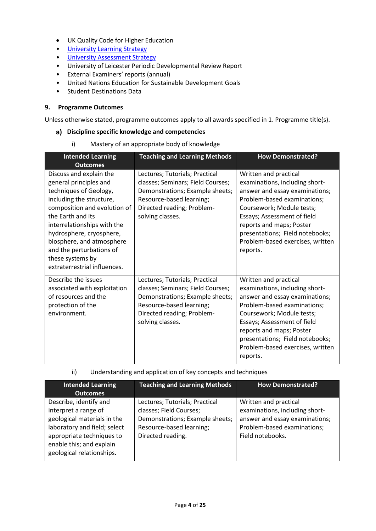- UK Quality Code for Higher Education
- University Learnin[g Strategy](https://www2.le.ac.uk/offices/sas2/quality/learnteach)
- [University Assessment Strategy](https://www2.le.ac.uk/offices/sas2/quality/learnteach)
- University of Leicester Periodic Developmental Review Report
- External Examiners' reports (annual)
- United Nations Education for Sustainable Development Goals
- Student Destinations Data

#### **9. Programme Outcomes**

Unless otherwise stated, programme outcomes apply to all awards specified in 1. Programme title(s).

#### **Discipline specific knowledge and competencies**

i) Mastery of an appropriate body of knowledge

| <b>Intended Learning</b><br><b>Outcomes</b>                                                                                                                                                                                                                                                                                          | <b>Teaching and Learning Methods</b>                                                                                                                                                 | <b>How Demonstrated?</b>                                                                                                                                                                                                                                                                            |
|--------------------------------------------------------------------------------------------------------------------------------------------------------------------------------------------------------------------------------------------------------------------------------------------------------------------------------------|--------------------------------------------------------------------------------------------------------------------------------------------------------------------------------------|-----------------------------------------------------------------------------------------------------------------------------------------------------------------------------------------------------------------------------------------------------------------------------------------------------|
| Discuss and explain the<br>general principles and<br>techniques of Geology,<br>including the structure,<br>composition and evolution of<br>the Earth and its<br>interrelationships with the<br>hydrosphere, cryosphere,<br>biosphere, and atmosphere<br>and the perturbations of<br>these systems by<br>extraterrestrial influences. | Lectures; Tutorials; Practical<br>classes; Seminars; Field Courses;<br>Demonstrations; Example sheets;<br>Resource-based learning;<br>Directed reading; Problem-<br>solving classes. | Written and practical<br>examinations, including short-<br>answer and essay examinations;<br>Problem-based examinations;<br>Coursework; Module tests;<br>Essays; Assessment of field<br>reports and maps; Poster<br>presentations; Field notebooks;<br>Problem-based exercises, written<br>reports. |
| Describe the issues<br>associated with exploitation<br>of resources and the<br>protection of the<br>environment.                                                                                                                                                                                                                     | Lectures; Tutorials; Practical<br>classes; Seminars; Field Courses;<br>Demonstrations; Example sheets;<br>Resource-based learning;<br>Directed reading; Problem-<br>solving classes. | Written and practical<br>examinations, including short-<br>answer and essay examinations;<br>Problem-based examinations;<br>Coursework; Module tests;<br>Essays; Assessment of field<br>reports and maps; Poster<br>presentations; Field notebooks;<br>Problem-based exercises, written<br>reports. |

#### ii) Understanding and application of key concepts and techniques

| <b>Intended Learning</b><br><b>Outcomes</b>                                                                                                                                                         | <b>Teaching and Learning Methods</b>                                                                                                          | <b>How Demonstrated?</b>                                                                                                                     |
|-----------------------------------------------------------------------------------------------------------------------------------------------------------------------------------------------------|-----------------------------------------------------------------------------------------------------------------------------------------------|----------------------------------------------------------------------------------------------------------------------------------------------|
| Describe, identify and<br>interpret a range of<br>geological materials in the<br>laboratory and field; select<br>appropriate techniques to<br>enable this; and explain<br>geological relationships. | Lectures; Tutorials; Practical<br>classes; Field Courses;<br>Demonstrations; Example sheets;<br>Resource-based learning;<br>Directed reading. | Written and practical<br>examinations, including short-<br>answer and essay examinations;<br>Problem-based examinations;<br>Field notebooks. |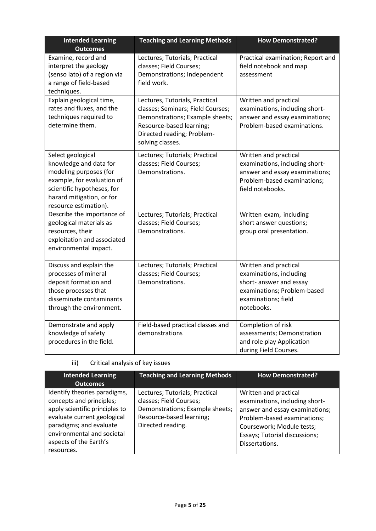| <b>Intended Learning</b><br><b>Outcomes</b>                                                                                                                                             | <b>Teaching and Learning Methods</b>                                                                                                                                                 | <b>How Demonstrated?</b>                                                                                                                        |
|-----------------------------------------------------------------------------------------------------------------------------------------------------------------------------------------|--------------------------------------------------------------------------------------------------------------------------------------------------------------------------------------|-------------------------------------------------------------------------------------------------------------------------------------------------|
| Examine, record and<br>interpret the geology<br>(senso lato) of a region via<br>a range of field-based<br>techniques.                                                                   | Lectures; Tutorials; Practical<br>classes; Field Courses;<br>Demonstrations; Independent<br>field work.                                                                              | Practical examination; Report and<br>field notebook and map<br>assessment                                                                       |
| Explain geological time,<br>rates and fluxes, and the<br>techniques required to<br>determine them.                                                                                      | Lectures, Tutorials, Practical<br>classes; Seminars; Field Courses;<br>Demonstrations; Example sheets;<br>Resource-based learning;<br>Directed reading; Problem-<br>solving classes. | Written and practical<br>examinations, including short-<br>answer and essay examinations;<br>Problem-based examinations.                        |
| Select geological<br>knowledge and data for<br>modeling purposes (for<br>example, for evaluation of<br>scientific hypotheses, for<br>hazard mitigation, or for<br>resource estimation). | Lectures; Tutorials; Practical<br>classes; Field Courses;<br>Demonstrations.                                                                                                         | Written and practical<br>examinations, including short-<br>answer and essay examinations;<br>Problem-based examinations;<br>field notebooks.    |
| Describe the importance of<br>geological materials as<br>resources, their<br>exploitation and associated<br>environmental impact.                                                       | Lectures; Tutorials; Practical<br>classes; Field Courses;<br>Demonstrations.                                                                                                         | Written exam, including<br>short answer questions;<br>group oral presentation.                                                                  |
| Discuss and explain the<br>processes of mineral<br>deposit formation and<br>those processes that<br>disseminate contaminants<br>through the environment.                                | Lectures; Tutorials; Practical<br>classes; Field Courses;<br>Demonstrations.                                                                                                         | Written and practical<br>examinations, including<br>short- answer and essay<br>examinations; Problem-based<br>examinations; field<br>notebooks. |
| Demonstrate and apply<br>knowledge of safety<br>procedures in the field.                                                                                                                | Field-based practical classes and<br>demonstrations                                                                                                                                  | Completion of risk<br>assessments; Demonstration<br>and role play Application<br>during Field Courses.                                          |

iii) Critical analysis of key issues

| <b>Intended Learning</b>                                                                                                                                                                                                   | <b>Teaching and Learning Methods</b>                                                                                                          | <b>How Demonstrated?</b>                                                                                                                                                                                 |
|----------------------------------------------------------------------------------------------------------------------------------------------------------------------------------------------------------------------------|-----------------------------------------------------------------------------------------------------------------------------------------------|----------------------------------------------------------------------------------------------------------------------------------------------------------------------------------------------------------|
| <b>Outcomes</b>                                                                                                                                                                                                            |                                                                                                                                               |                                                                                                                                                                                                          |
| Identify theories paradigms,<br>concepts and principles;<br>apply scientific principles to<br>evaluate current geological<br>paradigms; and evaluate<br>environmental and societal<br>aspects of the Earth's<br>resources. | Lectures; Tutorials; Practical<br>classes; Field Courses;<br>Demonstrations; Example sheets;<br>Resource-based learning;<br>Directed reading. | Written and practical<br>examinations, including short-<br>answer and essay examinations;<br>Problem-based examinations;<br>Coursework; Module tests;<br>Essays; Tutorial discussions;<br>Dissertations. |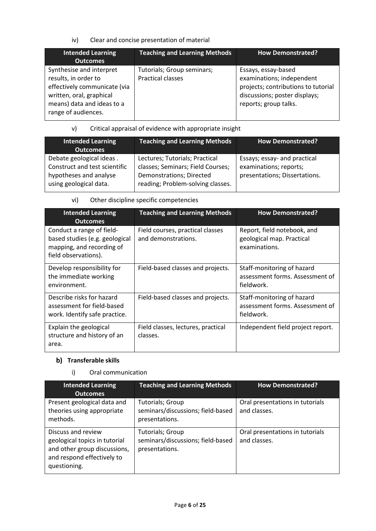iv) Clear and concise presentation of material

| <b>Intended Learning</b><br><b>Outcomes</b>                                                                                                                       | <b>Teaching and Learning Methods</b>                   | <b>How Demonstrated?</b>                                                                                                                          |
|-------------------------------------------------------------------------------------------------------------------------------------------------------------------|--------------------------------------------------------|---------------------------------------------------------------------------------------------------------------------------------------------------|
| Synthesise and interpret<br>results, in order to<br>effectively communicate (via<br>written, oral, graphical<br>means) data and ideas to a<br>range of audiences. | Tutorials; Group seminars;<br><b>Practical classes</b> | Essays, essay-based<br>examinations; independent<br>projects; contributions to tutorial<br>discussions; poster displays;<br>reports; group talks. |

### v) Critical appraisal of evidence with appropriate insight

| <b>Intended Learning</b><br><b>Outcomes</b>                                                                   | <b>Teaching and Learning Methods</b>                                                                                                        | <b>How Demonstrated?</b>                                                                |
|---------------------------------------------------------------------------------------------------------------|---------------------------------------------------------------------------------------------------------------------------------------------|-----------------------------------------------------------------------------------------|
| Debate geological ideas.<br>Construct and test scientific<br>hypotheses and analyse<br>using geological data. | Lectures; Tutorials; Practical<br>classes; Seminars; Field Courses;<br><b>Demonstrations; Directed</b><br>reading; Problem-solving classes. | Essays; essay- and practical<br>examinations; reports;<br>presentations; Dissertations. |

### vi) Other discipline specific competencies

| <b>Intended Learning</b><br><b>Outcomes</b>                                                                      | <b>Teaching and Learning Methods</b>                    | <b>How Demonstrated?</b>                                                    |
|------------------------------------------------------------------------------------------------------------------|---------------------------------------------------------|-----------------------------------------------------------------------------|
| Conduct a range of field-<br>based studies (e.g. geological<br>mapping, and recording of<br>field observations). | Field courses, practical classes<br>and demonstrations. | Report, field notebook, and<br>geological map. Practical<br>examinations.   |
| Develop responsibility for<br>the immediate working<br>environment.                                              | Field-based classes and projects.                       | Staff-monitoring of hazard<br>assessment forms. Assessment of<br>fieldwork. |
| Describe risks for hazard<br>assessment for field-based<br>work. Identify safe practice.                         | Field-based classes and projects.                       | Staff-monitoring of hazard<br>assessment forms. Assessment of<br>fieldwork. |
| Explain the geological<br>structure and history of an<br>area.                                                   | Field classes, lectures, practical<br>classes.          | Independent field project report.                                           |

### **Transferable skills**

### i) Oral communication

| <b>Intended Learning</b><br><b>Outcomes</b>                                                                                       | <b>Teaching and Learning Methods</b>                                           | <b>How Demonstrated?</b>                        |
|-----------------------------------------------------------------------------------------------------------------------------------|--------------------------------------------------------------------------------|-------------------------------------------------|
| Present geological data and<br>theories using appropriate<br>methods.                                                             | Tutorials; Group<br>seminars/discussions; field-based<br>presentations.        | Oral presentations in tutorials<br>and classes. |
| Discuss and review<br>geological topics in tutorial<br>and other group discussions,<br>and respond effectively to<br>questioning. | <b>Tutorials; Group</b><br>seminars/discussions; field-based<br>presentations. | Oral presentations in tutorials<br>and classes. |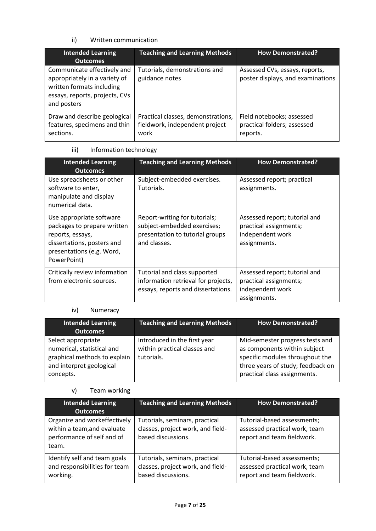### ii) Written communication

| <b>Intended Learning</b><br><b>Outcomes</b>                                                                                                | <b>Teaching and Learning Methods</b>                                         | <b>How Demonstrated?</b>                                             |
|--------------------------------------------------------------------------------------------------------------------------------------------|------------------------------------------------------------------------------|----------------------------------------------------------------------|
| Communicate effectively and<br>appropriately in a variety of<br>written formats including<br>essays, reports, projects, CVs<br>and posters | Tutorials, demonstrations and<br>guidance notes                              | Assessed CVs, essays, reports,<br>poster displays, and examinations  |
| Draw and describe geological<br>features, specimens and thin<br>sections.                                                                  | Practical classes, demonstrations,<br>fieldwork, independent project<br>work | Field notebooks; assessed<br>practical folders; assessed<br>reports. |

### iii) Information technology

| <b>Intended Learning</b><br><b>Outcomes</b>                                                                                                           | <b>Teaching and Learning Methods</b>                                                                            | <b>How Demonstrated?</b>                                                                    |
|-------------------------------------------------------------------------------------------------------------------------------------------------------|-----------------------------------------------------------------------------------------------------------------|---------------------------------------------------------------------------------------------|
| Use spreadsheets or other<br>software to enter,<br>manipulate and display<br>numerical data.                                                          | Subject-embedded exercises.<br>Tutorials.                                                                       | Assessed report; practical<br>assignments.                                                  |
| Use appropriate software<br>packages to prepare written<br>reports, essays,<br>dissertations, posters and<br>presentations (e.g. Word,<br>PowerPoint) | Report-writing for tutorials;<br>subject-embedded exercises;<br>presentation to tutorial groups<br>and classes. | Assessed report; tutorial and<br>practical assignments;<br>independent work<br>assignments. |
| Critically review information<br>from electronic sources.                                                                                             | Tutorial and class supported<br>information retrieval for projects,<br>essays, reports and dissertations.       | Assessed report; tutorial and<br>practical assignments;<br>independent work<br>assignments. |

### iv) Numeracy

| <b>Intended Learning</b><br><b>Outcomes</b>                                                                               | <b>Teaching and Learning Methods</b>                                       | <b>How Demonstrated?</b>                                                                                                                                                |
|---------------------------------------------------------------------------------------------------------------------------|----------------------------------------------------------------------------|-------------------------------------------------------------------------------------------------------------------------------------------------------------------------|
| Select appropriate<br>numerical, statistical and<br>graphical methods to explain<br>and interpret geological<br>concepts. | Introduced in the first year<br>within practical classes and<br>tutorials. | Mid-semester progress tests and<br>as components within subject<br>specific modules throughout the<br>three years of study; feedback on<br>practical class assignments. |

### v) Team working

| <b>Intended Learning</b><br><b>Outcomes</b>                                                        | <b>Teaching and Learning Methods</b>                                                      | <b>How Demonstrated?</b>                                                                   |
|----------------------------------------------------------------------------------------------------|-------------------------------------------------------------------------------------------|--------------------------------------------------------------------------------------------|
| Organize and workeffectively<br>within a team, and evaluate<br>performance of self and of<br>team. | Tutorials, seminars, practical<br>classes, project work, and field-<br>based discussions. | Tutorial-based assessments;<br>assessed practical work, team<br>report and team fieldwork. |
| Identify self and team goals<br>and responsibilities for team<br>working.                          | Tutorials, seminars, practical<br>classes, project work, and field-<br>based discussions. | Tutorial-based assessments;<br>assessed practical work, team<br>report and team fieldwork. |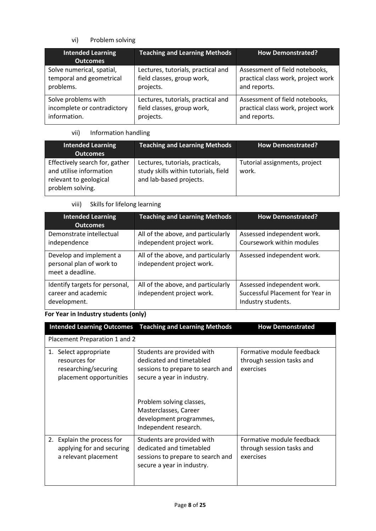### vi) Problem solving

| <b>Intended Learning</b><br><b>Outcomes</b> | <b>Teaching and Learning Methods</b> | <b>How Demonstrated?</b>           |  |
|---------------------------------------------|--------------------------------------|------------------------------------|--|
| Solve numerical, spatial,                   | Lectures, tutorials, practical and   | Assessment of field notebooks,     |  |
| temporal and geometrical                    | field classes, group work,           | practical class work, project work |  |
| problems.                                   | projects.                            | and reports.                       |  |
| Solve problems with                         | Lectures, tutorials, practical and   | Assessment of field notebooks,     |  |
| incomplete or contradictory                 | field classes, group work,           | practical class work, project work |  |
| information.                                | projects.                            | and reports.                       |  |

## vii) Information handling

| <b>Intended Learning</b><br><b>Outcomes</b>                                                             | <b>Teaching and Learning Methods</b>                                                                | <b>How Demonstrated?</b>               |
|---------------------------------------------------------------------------------------------------------|-----------------------------------------------------------------------------------------------------|----------------------------------------|
| Effectively search for, gather<br>and utilise information<br>relevant to geological<br>problem solving. | Lectures, tutorials, practicals,<br>study skills within tutorials, field<br>and lab-based projects. | Tutorial assignments, project<br>work. |

### viii) Skills for lifelong learning

| <b>Intended Learning</b><br><b>Outcomes</b>                             | <b>Teaching and Learning Methods</b>                            | <b>How Demonstrated?</b>                                                             |  |
|-------------------------------------------------------------------------|-----------------------------------------------------------------|--------------------------------------------------------------------------------------|--|
| Demonstrate intellectual<br>independence                                | All of the above, and particularly<br>independent project work. | Assessed independent work.<br>Coursework within modules                              |  |
| Develop and implement a<br>personal plan of work to<br>meet a deadline. | All of the above, and particularly<br>independent project work. | Assessed independent work.                                                           |  |
| Identify targets for personal,<br>career and academic<br>development.   | All of the above, and particularly<br>independent project work. | Assessed independent work.<br>Successful Placement for Year in<br>Industry students. |  |

## **For Year in Industry students (only)**

| <b>Intended Learning Outcomes</b>                                                         | <b>Teaching and Learning Methods</b>                                                                                                                                                                                               | <b>How Demonstrated</b>                                             |
|-------------------------------------------------------------------------------------------|------------------------------------------------------------------------------------------------------------------------------------------------------------------------------------------------------------------------------------|---------------------------------------------------------------------|
| Placement Preparation 1 and 2                                                             |                                                                                                                                                                                                                                    |                                                                     |
| 1. Select appropriate<br>resources for<br>researching/securing<br>placement opportunities | Students are provided with<br>dedicated and timetabled<br>sessions to prepare to search and<br>secure a year in industry.<br>Problem solving classes,<br>Masterclasses, Career<br>development programmes,<br>Independent research. | Formative module feedback<br>through session tasks and<br>exercises |
| Explain the process for<br>2.<br>applying for and securing<br>a relevant placement        | Students are provided with<br>dedicated and timetabled<br>sessions to prepare to search and<br>secure a year in industry.                                                                                                          | Formative module feedback<br>through session tasks and<br>exercises |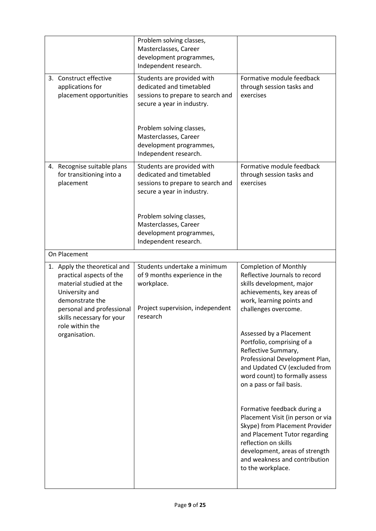|                                                                                                                                                                                                       | Problem solving classes,<br>Masterclasses, Career<br>development programmes,<br>Independent research.                       |                                                                                                                                                                                                                                                     |
|-------------------------------------------------------------------------------------------------------------------------------------------------------------------------------------------------------|-----------------------------------------------------------------------------------------------------------------------------|-----------------------------------------------------------------------------------------------------------------------------------------------------------------------------------------------------------------------------------------------------|
| 3. Construct effective<br>applications for<br>placement opportunities                                                                                                                                 | Students are provided with<br>dedicated and timetabled<br>sessions to prepare to search and<br>secure a year in industry.   | Formative module feedback<br>through session tasks and<br>exercises                                                                                                                                                                                 |
|                                                                                                                                                                                                       | Problem solving classes,<br>Masterclasses, Career<br>development programmes,<br>Independent research.                       |                                                                                                                                                                                                                                                     |
| 4. Recognise suitable plans<br>for transitioning into a<br>placement                                                                                                                                  | Students are provided with<br>dedicated and timetabled<br>sessions to prepare to search and<br>secure a year in industry.   | Formative module feedback<br>through session tasks and<br>exercises                                                                                                                                                                                 |
|                                                                                                                                                                                                       | Problem solving classes,<br>Masterclasses, Career<br>development programmes,<br>Independent research.                       |                                                                                                                                                                                                                                                     |
| On Placement                                                                                                                                                                                          |                                                                                                                             |                                                                                                                                                                                                                                                     |
| 1. Apply the theoretical and<br>practical aspects of the<br>material studied at the<br>University and<br>demonstrate the<br>personal and professional<br>skills necessary for your<br>role within the | Students undertake a minimum<br>of 9 months experience in the<br>workplace.<br>Project supervision, independent<br>research | <b>Completion of Monthly</b><br>Reflective Journals to record<br>skills development, major<br>achievements, key areas of<br>work, learning points and<br>challenges overcome.                                                                       |
| organisation.                                                                                                                                                                                         |                                                                                                                             | Assessed by a Placement<br>Portfolio, comprising of a<br>Reflective Summary,<br>Professional Development Plan,<br>and Updated CV (excluded from<br>word count) to formally assess<br>on a pass or fail basis.                                       |
|                                                                                                                                                                                                       |                                                                                                                             | Formative feedback during a<br>Placement Visit (in person or via<br>Skype) from Placement Provider<br>and Placement Tutor regarding<br>reflection on skills<br>development, areas of strength<br>and weakness and contribution<br>to the workplace. |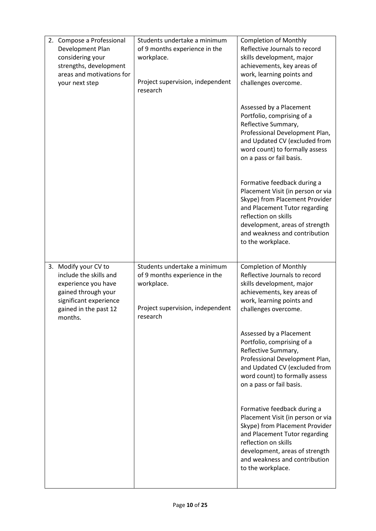| 2. Compose a Professional<br>Development Plan<br>considering your<br>strengths, development<br>areas and motivations for<br>your next step                 | Students undertake a minimum<br>of 9 months experience in the<br>workplace.<br>Project supervision, independent<br>research | <b>Completion of Monthly</b><br>Reflective Journals to record<br>skills development, major<br>achievements, key areas of<br>work, learning points and<br>challenges overcome.                                                                       |
|------------------------------------------------------------------------------------------------------------------------------------------------------------|-----------------------------------------------------------------------------------------------------------------------------|-----------------------------------------------------------------------------------------------------------------------------------------------------------------------------------------------------------------------------------------------------|
|                                                                                                                                                            |                                                                                                                             | Assessed by a Placement<br>Portfolio, comprising of a<br>Reflective Summary,<br>Professional Development Plan,<br>and Updated CV (excluded from<br>word count) to formally assess<br>on a pass or fail basis.                                       |
|                                                                                                                                                            |                                                                                                                             | Formative feedback during a<br>Placement Visit (in person or via<br>Skype) from Placement Provider<br>and Placement Tutor regarding<br>reflection on skills<br>development, areas of strength<br>and weakness and contribution<br>to the workplace. |
| 3. Modify your CV to<br>include the skills and<br>experience you have<br>gained through your<br>significant experience<br>gained in the past 12<br>months. | Students undertake a minimum<br>of 9 months experience in the<br>workplace.<br>Project supervision, independent<br>research | <b>Completion of Monthly</b><br>Reflective Journals to record<br>skills development, major<br>achievements, key areas of<br>work, learning points and<br>challenges overcome.                                                                       |
|                                                                                                                                                            |                                                                                                                             | Assessed by a Placement<br>Portfolio, comprising of a<br>Reflective Summary,<br>Professional Development Plan,<br>and Updated CV (excluded from<br>word count) to formally assess<br>on a pass or fail basis.                                       |
|                                                                                                                                                            |                                                                                                                             | Formative feedback during a<br>Placement Visit (in person or via<br>Skype) from Placement Provider<br>and Placement Tutor regarding<br>reflection on skills<br>development, areas of strength<br>and weakness and contribution<br>to the workplace. |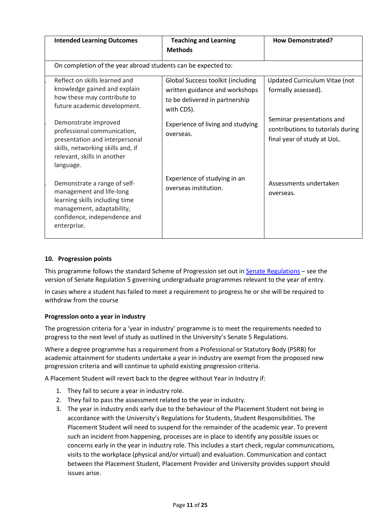| <b>Intended Learning Outcomes</b>                                                                                                                                      | <b>Teaching and Learning</b><br><b>Methods</b>                                                                      | <b>How Demonstrated?</b>                                                                      |
|------------------------------------------------------------------------------------------------------------------------------------------------------------------------|---------------------------------------------------------------------------------------------------------------------|-----------------------------------------------------------------------------------------------|
| On completion of the year abroad students can be expected to:                                                                                                          |                                                                                                                     |                                                                                               |
| Reflect on skills learned and<br>knowledge gained and explain<br>how these may contribute to<br>future academic development.                                           | Global Success toolkit (including<br>written guidance and workshops<br>to be delivered in partnership<br>with CDS). | Updated Curriculum Vitae (not<br>formally assessed).                                          |
| Demonstrate improved<br>professional communication,<br>presentation and interpersonal<br>skills, networking skills and, if<br>relevant, skills in another<br>language. | Experience of living and studying<br>overseas.                                                                      | Seminar presentations and<br>contributions to tutorials during<br>final year of study at UoL. |
| Demonstrate a range of self-<br>management and life-long<br>learning skills including time<br>management, adaptability,<br>confidence, independence and<br>enterprise. | Experience of studying in an<br>overseas institution.                                                               | Assessments undertaken<br>overseas.                                                           |

### **10. Progression points**

This programme follows the standard Scheme of Progression set out in **Senate Regulations** – see the version of Senate Regulation 5 governing undergraduate programmes relevant to the year of entry.

In cases where a student has failed to meet a requirement to progress he or she will be required to withdraw from the course

### **Progression onto a year in industry**

The progression criteria for a 'year in industry' programme is to meet the requirements needed to progress to the next level of study as outlined in the University's Senate 5 Regulations.

Where a degree programme has a requirement from a Professional or Statutory Body (PSRB) for academic attainment for students undertake a year in industry are exempt from the proposed new progression criteria and will continue to uphold existing progression criteria.

A Placement Student will revert back to the degree without Year in Industry if:

- 1. They fail to secure a year in industry role.
- 2. They fail to pass the assessment related to the year in industry.
- 3. The year in industry ends early due to the behaviour of the Placement Student not being in accordance with the University's Regulations for Students, Student Responsibilities. The Placement Student will need to suspend for the remainder of the academic year. To prevent such an incident from happening, processes are in place to identify any possible issues or concerns early in the year in industry role. This includes a start check, regular communications, visits to the workplace (physical and/or virtual) and evaluation. Communication and contact between the Placement Student, Placement Provider and University provides support should issues arise.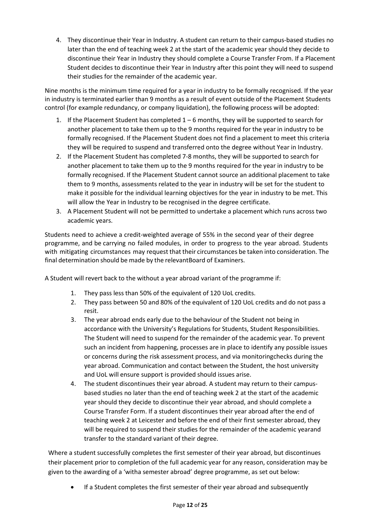4. They discontinue their Year in Industry. A student can return to their campus-based studies no later than the end of teaching week 2 at the start of the academic year should they decide to discontinue their Year in Industry they should complete a Course Transfer From. If a Placement Student decides to discontinue their Year in Industry after this point they will need to suspend their studies for the remainder of the academic year.

Nine months is the minimum time required for a year in industry to be formally recognised. If the year in industry is terminated earlier than 9 months as a result of event outside of the Placement Students control (for example redundancy, or company liquidation), the following process will be adopted:

- 1. If the Placement Student has completed 1 6 months, they will be supported to search for another placement to take them up to the 9 months required for the year in industry to be formally recognised. If the Placement Student does not find a placement to meet this criteria they will be required to suspend and transferred onto the degree without Year in Industry.
- 2. If the Placement Student has completed 7-8 months, they will be supported to search for another placement to take them up to the 9 months required for the year in industry to be formally recognised. If the Placement Student cannot source an additional placement to take them to 9 months, assessments related to the year in industry will be set for the student to make it possible for the individual learning objectives for the year in industry to be met. This will allow the Year in Industry to be recognised in the degree certificate.
- 3. A Placement Student will not be permitted to undertake a placement which runs across two academic years.

Students need to achieve a credit-weighted average of 55% in the second year of their degree programme, and be carrying no failed modules, in order to progress to the year abroad. Students with mitigating circumstances may request that their circumstances be taken into consideration. The final determination should be made by the relevantBoard of Examiners.

A Student will revert back to the without a year abroad variant of the programme if:

- 1. They pass less than 50% of the equivalent of 120 UoL credits.
- 2. They pass between 50 and 80% of the equivalent of 120 UoL credits and do not pass a resit.
- 3. The year abroad ends early due to the behaviour of the Student not being in accordance with the University's Regulations for Students, Student Responsibilities. The Student will need to suspend for the remainder of the academic year. To prevent such an incident from happening, processes are in place to identify any possible issues or concerns during the risk assessment process, and via monitoringchecks during the year abroad. Communication and contact between the Student, the host university and UoL will ensure support is provided should issues arise.
- 4. The student discontinues their year abroad. A student may return to their campusbased studies no later than the end of teaching week 2 at the start of the academic year should they decide to discontinue their year abroad, and should complete a Course Transfer Form. If a student discontinues their year abroad after the end of teaching week 2 at Leicester and before the end of their first semester abroad, they will be required to suspend their studies for the remainder of the academic yearand transfer to the standard variant of their degree.

Where a student successfully completes the first semester of their year abroad, but discontinues their placement prior to completion of the full academic year for any reason, consideration may be given to the awarding of a 'witha semester abroad' degree programme, as set out below:

If a Student completes the first semester of their year abroad and subsequently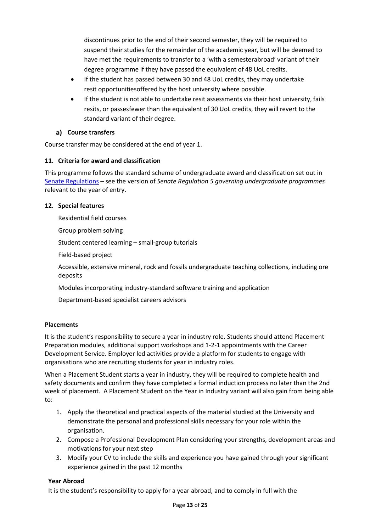discontinues prior to the end of their second semester, they will be required to suspend their studies for the remainder of the academic year, but will be deemed to have met the requirements to transfer to a 'with a semesterabroad' variant of their degree programme if they have passed the equivalent of 48 UoL credits.

- If the student has passed between 30 and 48 UoL credits, they may undertake resit opportunitiesoffered by the host university where possible.
- If the student is not able to undertake resit assessments via their host university, fails resits, or passesfewer than the equivalent of 30 UoL credits, they will revert to the standard variant of their degree.

### **Course transfers**

Course transfer may be considered at the end of year 1.

### **11. Criteria for award and classification**

This programme follows the standard scheme of undergraduate award and classification set out in [Senate Regulations](http://www.le.ac.uk/senate-regulations) – see the version of *Senate Regulation 5 governing undergraduate programmes* relevant to the year of entry.

### **12. Special features**

Residential field courses

Group problem solving

Student centered learning – small-group tutorials

Field-based project

Accessible, extensive mineral, rock and fossils undergraduate teaching collections, including ore deposits

Modules incorporating industry-standard software training and application

Department-based specialist careers advisors

### **Placements**

It is the student's responsibility to secure a year in industry role. Students should attend Placement Preparation modules, additional support workshops and 1-2-1 appointments with the Career Development Service. Employer led activities provide a platform for students to engage with organisations who are recruiting students for year in industry roles.

When a Placement Student starts a year in industry, they will be required to complete health and safety documents and confirm they have completed a formal induction process no later than the 2nd week of placement. A Placement Student on the Year in Industry variant will also gain from being able to:

- 1. Apply the theoretical and practical aspects of the material studied at the University and demonstrate the personal and professional skills necessary for your role within the organisation.
- 2. Compose a Professional Development Plan considering your strengths, development areas and motivations for your next step
- 3. Modify your CV to include the skills and experience you have gained through your significant experience gained in the past 12 months

### **Year Abroad**

It is the student's responsibility to apply for a year abroad, and to comply in full with the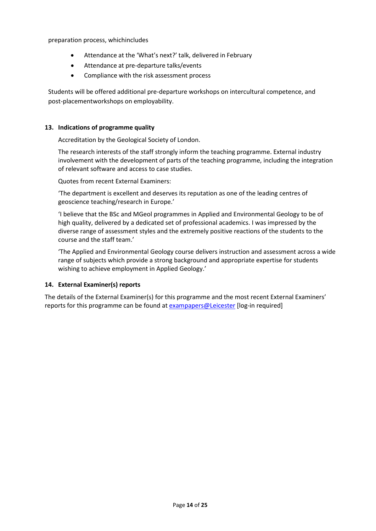preparation process, whichincludes

- Attendance at the 'What's next?' talk, delivered in February
- Attendance at pre-departure talks/events
- Compliance with the risk assessment process

Students will be offered additional pre-departure workshops on intercultural competence, and post-placementworkshops on employability.

#### **13. Indications of programme quality**

Accreditation by the Geological Society of London.

The research interests of the staff strongly inform the teaching programme. External industry involvement with the development of parts of the teaching programme, including the integration of relevant software and access to case studies.

Quotes from recent External Examiners:

'The department is excellent and deserves its reputation as one of the leading centres of geoscience teaching/research in Europe.'

'I believe that the BSc and MGeol programmes in Applied and Environmental Geology to be of high quality, delivered by a dedicated set of professional academics. I was impressed by the diverse range of assessment styles and the extremely positive reactions of the students to the course and the staff team.'

'The Applied and Environmental Geology course delivers instruction and assessment across a wide range of subjects which provide a strong background and appropriate expertise for students wishing to achieve employment in Applied Geology.'

#### **14. External Examiner(s) reports**

The details of the External Examiner(s) for this programme and the most recent External Examiners' reports for this programme can be found at [exampapers@Leicester](https://exampapers.le.ac.uk/) [log-in required]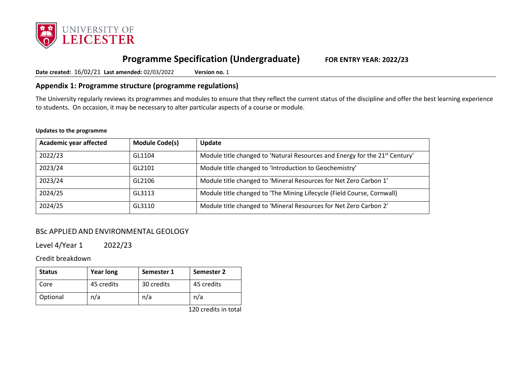

# **Programme Specification (Undergraduate) FOR ENTRY YEAR: 2022/23**

**Date created:** 16/02/21 **Last amended:** 02/03/2022 **Version no.** 1

### **Appendix 1: Programme structure (programme regulations)**

The University regularly reviews its programmes and modules to ensure that they reflect the current status of the discipline and offer the best learning experience to students. On occasion, it may be necessary to alter particular aspects of a course or module.

#### **Updates to the programme**

| <b>Academic year affected</b> | <b>Module Code(s)</b> | Update                                                                                  |
|-------------------------------|-----------------------|-----------------------------------------------------------------------------------------|
| 2022/23                       | GL1104                | Module title changed to 'Natural Resources and Energy for the 21 <sup>st</sup> Century' |
| 2023/24                       | GL2101                | Module title changed to 'Introduction to Geochemistry'                                  |
| 2023/24                       | GL2106                | Module title changed to 'Mineral Resources for Net Zero Carbon 1'                       |
| 2024/25                       | GL3113                | Module title changed to 'The Mining Lifecycle (Field Course, Cornwall)                  |
| 2024/25                       | GL3110                | Module title changed to 'Mineral Resources for Net Zero Carbon 2'                       |

## BSc APPLIED AND ENVIRONMENTAL GEOLOGY

Level 4/Year 1 2022/23

Credit breakdown

| <b>Status</b> | <b>Year long</b> | Semester 1 | Semester 2 |
|---------------|------------------|------------|------------|
| Core          | 45 credits       | 30 credits | 45 credits |
| Optional      | n/a              | n/a        | n/a        |

120 credits in total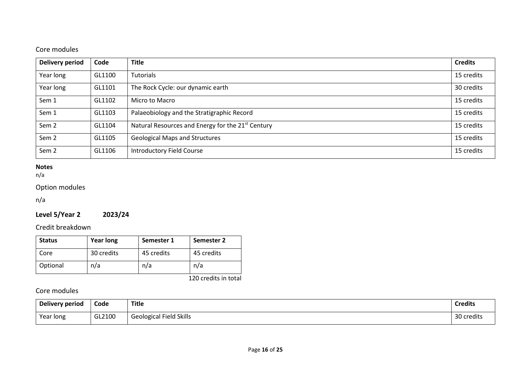## Core modules

| Delivery period  | Code   | <b>Title</b>                                                  | <b>Credits</b> |
|------------------|--------|---------------------------------------------------------------|----------------|
| Year long        | GL1100 | <b>Tutorials</b>                                              | 15 credits     |
| Year long        | GL1101 | The Rock Cycle: our dynamic earth                             | 30 credits     |
| Sem 1            | GL1102 | Micro to Macro                                                | 15 credits     |
| Sem 1            | GL1103 | Palaeobiology and the Stratigraphic Record                    | 15 credits     |
| Sem <sub>2</sub> | GL1104 | Natural Resources and Energy for the 21 <sup>st</sup> Century | 15 credits     |
| Sem <sub>2</sub> | GL1105 | <b>Geological Maps and Structures</b>                         | 15 credits     |
| Sem <sub>2</sub> | GL1106 | <b>Introductory Field Course</b>                              | 15 credits     |

### **Notes**

n/a

### Option modules

n/a

## **Level 5/Year 2 2023/24**

## Credit breakdown

| <b>Status</b> | <b>Year long</b> | Semester 1 | Semester 2 |
|---------------|------------------|------------|------------|
| Core          | 30 credits       | 45 credits | 45 credits |
| Optional      | n/a              | n/a        | n/a        |

120 credits in total

## Core modules

| Delivery period | Code   | <b>Title</b>                   | <b>Credits</b> |
|-----------------|--------|--------------------------------|----------------|
| Year long       | GL2100 | <b>Geological Field Skills</b> | 30 credits     |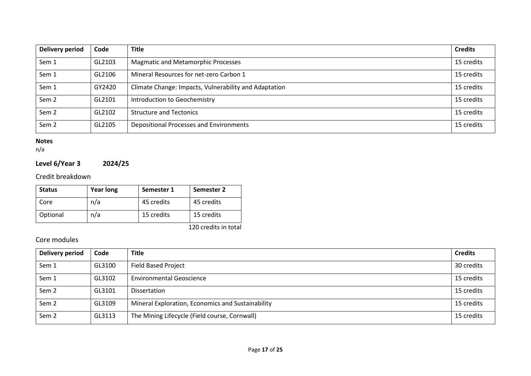| Delivery period  | Code   | <b>Title</b>                                          | <b>Credits</b> |
|------------------|--------|-------------------------------------------------------|----------------|
| Sem 1            | GL2103 | <b>Magmatic and Metamorphic Processes</b>             | 15 credits     |
| Sem 1            | GL2106 | Mineral Resources for net-zero Carbon 1               | 15 credits     |
| Sem 1            | GY2420 | Climate Change: Impacts, Vulnerability and Adaptation | 15 credits     |
| Sem <sub>2</sub> | GL2101 | Introduction to Geochemistry                          | 15 credits     |
| Sem <sub>2</sub> | GL2102 | <b>Structure and Tectonics</b>                        | 15 credits     |
| Sem <sub>2</sub> | GL2105 | Depositional Processes and Environments               | 15 credits     |

### **Notes**

n/a

## **Level 6/Year 3 2024/25**

Credit breakdown

| <b>Status</b> | <b>Year long</b> | Semester 1 | Semester 2 |
|---------------|------------------|------------|------------|
| Core          | n/a              | 45 credits | 45 credits |
| Optional      | n/a              | 15 credits | 15 credits |

120 credits in total

## Core modules

| Delivery period  | Code   | <b>Title</b>                                      | <b>Credits</b> |
|------------------|--------|---------------------------------------------------|----------------|
| Sem 1            | GL3100 | <b>Field Based Project</b>                        | 30 credits     |
| Sem 1            | GL3102 | <b>Environmental Geoscience</b>                   | 15 credits     |
| Sem <sub>2</sub> | GL3101 | <b>Dissertation</b>                               | 15 credits     |
| Sem <sub>2</sub> | GL3109 | Mineral Exploration, Economics and Sustainability | 15 credits     |
| Sem <sub>2</sub> | GL3113 | The Mining Lifecycle (Field course, Cornwall)     | 15 credits     |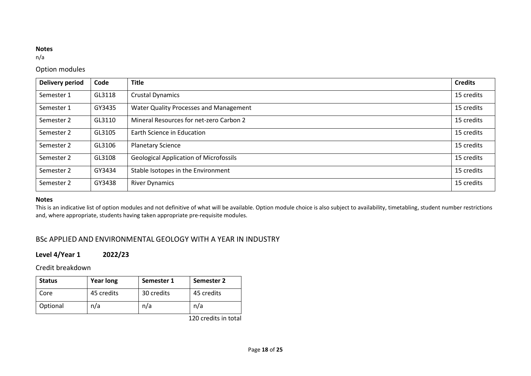#### **Notes**

n/a

### Option modules

| <b>Delivery period</b> | Code   | <b>Title</b>                                  | <b>Credits</b> |
|------------------------|--------|-----------------------------------------------|----------------|
| Semester 1             | GL3118 | <b>Crustal Dynamics</b>                       | 15 credits     |
| Semester 1             | GY3435 | Water Quality Processes and Management        | 15 credits     |
| Semester 2             | GL3110 | Mineral Resources for net-zero Carbon 2       | 15 credits     |
| Semester 2             | GL3105 | Earth Science in Education                    | 15 credits     |
| Semester 2             | GL3106 | <b>Planetary Science</b>                      | 15 credits     |
| Semester 2             | GL3108 | <b>Geological Application of Microfossils</b> | 15 credits     |
| Semester 2             | GY3434 | Stable Isotopes in the Environment            | 15 credits     |
| Semester 2             | GY3438 | <b>River Dynamics</b>                         | 15 credits     |

#### **Notes**

This is an indicative list of option modules and not definitive of what will be available. Option module choice is also subject to availability, timetabling, student number restrictions and, where appropriate, students having taken appropriate pre-requisite modules.

## BSc APPLIED AND ENVIRONMENTAL GEOLOGY WITH A YEAR IN INDUSTRY

## **Level 4/Year 1 2022/23**

### Credit breakdown

| <b>Status</b> | <b>Year long</b> | Semester 1 | Semester 2 |
|---------------|------------------|------------|------------|
| Core          | 45 credits       | 30 credits | 45 credits |
| Optional      | n/a              | n/a        | n/a        |

120 credits in total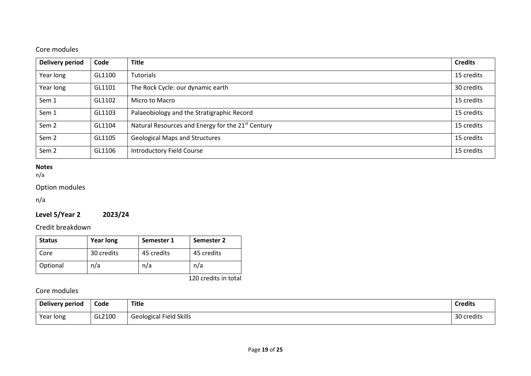## Core modules

| Delivery period  | Code   | <b>Title</b>                                                  | <b>Credits</b> |
|------------------|--------|---------------------------------------------------------------|----------------|
| Year long        | GL1100 | <b>Tutorials</b>                                              | 15 credits     |
| Year long        | GL1101 | The Rock Cycle: our dynamic earth                             | 30 credits     |
| Sem 1            | GL1102 | Micro to Macro                                                | 15 credits     |
| Sem 1            | GL1103 | Palaeobiology and the Stratigraphic Record                    | 15 credits     |
| Sem <sub>2</sub> | GL1104 | Natural Resources and Energy for the 21 <sup>st</sup> Century | 15 credits     |
| Sem <sub>2</sub> | GL1105 | <b>Geological Maps and Structures</b>                         | 15 credits     |
| Sem <sub>2</sub> | GL1106 | <b>Introductory Field Course</b>                              | 15 credits     |

### **Notes**

n/a

### Option modules

n/a

## **Level 5/Year 2 2023/24**

## Credit breakdown

| <b>Status</b> | <b>Year long</b> | Semester 1 | Semester 2 |
|---------------|------------------|------------|------------|
| Core          | 30 credits       | 45 credits | 45 credits |
| Optional      | n/a              | n/a        | n/a        |

120 credits in total

## Core modules

| Delivery period | Code   | <b>Title</b>                   | <b>Credits</b> |
|-----------------|--------|--------------------------------|----------------|
| Year long       | GL2100 | <b>Geological Field Skills</b> | 30 credits     |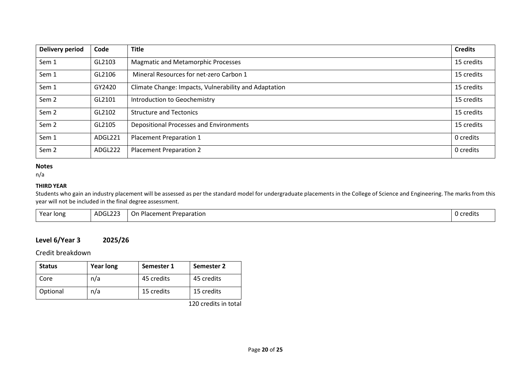| <b>Delivery period</b> | Code    | <b>Title</b>                                          | <b>Credits</b> |
|------------------------|---------|-------------------------------------------------------|----------------|
| Sem 1                  | GL2103  | <b>Magmatic and Metamorphic Processes</b>             | 15 credits     |
| Sem 1                  | GL2106  | Mineral Resources for net-zero Carbon 1               | 15 credits     |
| Sem 1                  | GY2420  | Climate Change: Impacts, Vulnerability and Adaptation | 15 credits     |
| Sem <sub>2</sub>       | GL2101  | Introduction to Geochemistry                          | 15 credits     |
| Sem <sub>2</sub>       | GL2102  | <b>Structure and Tectonics</b>                        | 15 credits     |
| Sem <sub>2</sub>       | GL2105  | Depositional Processes and Environments               | 15 credits     |
| Sem 1                  | ADGL221 | Placement Preparation 1                               | 0 credits      |
| Sem <sub>2</sub>       | ADGL222 | <b>Placement Preparation 2</b>                        | 0 credits      |

#### **Notes**

n/a

#### **THIRD YEAR**

Students who gain an industry placement will be assessed as per the standard model for undergraduate placements in the College of Science and Engineering. The marks from this year will not be included in the final degree assessment.

| Year long<br>. . |
|------------------|
|------------------|

### **Level 6/Year 3 2025/26**

Credit breakdown

| <b>Status</b> | <b>Year long</b> | Semester 1 | Semester 2 |
|---------------|------------------|------------|------------|
| Core          | n/a              | 45 credits | 45 credits |
| Optional      | n/a              | 15 credits | 15 credits |

120 credits in total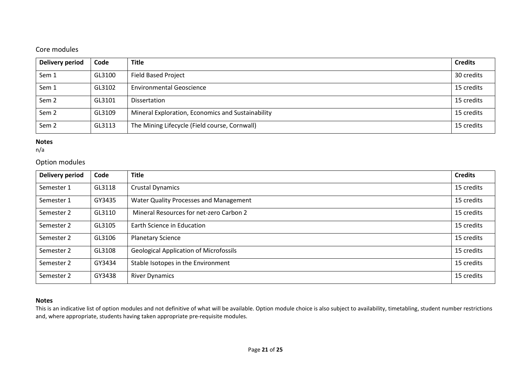## Core modules

| Delivery period  | Code   | <b>Title</b>                                      | <b>Credits</b> |
|------------------|--------|---------------------------------------------------|----------------|
| Sem 1            | GL3100 | <b>Field Based Project</b>                        | 30 credits     |
| Sem 1            | GL3102 | <b>Environmental Geoscience</b>                   | 15 credits     |
| Sem <sub>2</sub> | GL3101 | <b>Dissertation</b>                               | 15 credits     |
| Sem <sub>2</sub> | GL3109 | Mineral Exploration, Economics and Sustainability | 15 credits     |
| Sem <sub>2</sub> | GL3113 | The Mining Lifecycle (Field course, Cornwall)     | 15 credits     |

### **Notes**

n/a

### Option modules

| <b>Delivery period</b> | Code   | <b>Title</b>                                  | <b>Credits</b> |
|------------------------|--------|-----------------------------------------------|----------------|
| Semester 1             | GL3118 | <b>Crustal Dynamics</b>                       | 15 credits     |
| Semester 1             | GY3435 | Water Quality Processes and Management        | 15 credits     |
| Semester 2             | GL3110 | Mineral Resources for net-zero Carbon 2       | 15 credits     |
| Semester 2             | GL3105 | Earth Science in Education                    | 15 credits     |
| Semester 2             | GL3106 | <b>Planetary Science</b>                      | 15 credits     |
| Semester 2             | GL3108 | <b>Geological Application of Microfossils</b> | 15 credits     |
| Semester 2             | GY3434 | Stable Isotopes in the Environment            | 15 credits     |
| Semester 2             | GY3438 | <b>River Dynamics</b>                         | 15 credits     |

### **Notes**

This is an indicative list of option modules and not definitive of what will be available. Option module choice is also subject to availability, timetabling, student number restrictions and, where appropriate, students having taken appropriate pre-requisite modules.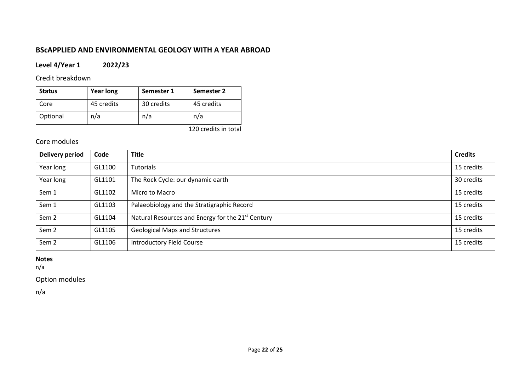## **BScAPPLIED AND ENVIRONMENTAL GEOLOGY WITH A YEAR ABROAD**

### **Level 4/Year 1 2022/23**

Credit breakdown

| <b>Status</b> | <b>Year long</b> | Semester 1 | Semester 2 |
|---------------|------------------|------------|------------|
| Core          | 45 credits       | 30 credits | 45 credits |
| Optional      | n/a              | n/a        | n/a        |

120 credits in total

## Core modules

| <b>Delivery period</b> | Code   | <b>Title</b>                                                  | <b>Credits</b> |
|------------------------|--------|---------------------------------------------------------------|----------------|
| Year long              | GL1100 | <b>Tutorials</b>                                              | 15 credits     |
| Year long              | GL1101 | The Rock Cycle: our dynamic earth                             | 30 credits     |
| Sem 1                  | GL1102 | Micro to Macro                                                | 15 credits     |
| Sem 1                  | GL1103 | Palaeobiology and the Stratigraphic Record                    | 15 credits     |
| Sem <sub>2</sub>       | GL1104 | Natural Resources and Energy for the 21 <sup>st</sup> Century | 15 credits     |
| Sem 2                  | GL1105 | <b>Geological Maps and Structures</b>                         | 15 credits     |
| Sem <sub>2</sub>       | GL1106 | <b>Introductory Field Course</b>                              | 15 credits     |

### **Notes**

n/a

Option modules

n/a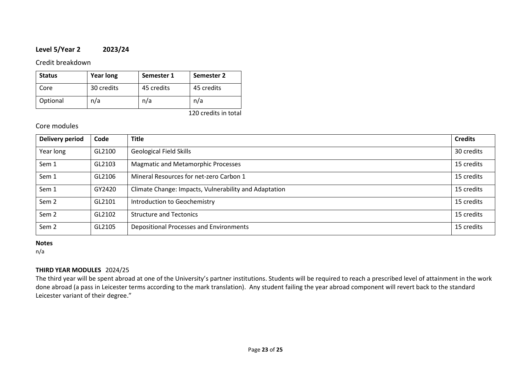### **Level 5/Year 2 2023/24**

Credit breakdown

| <b>Status</b> | <b>Year long</b> | Semester 1 | Semester 2 |
|---------------|------------------|------------|------------|
| Core          | 30 credits       | 45 credits | 45 credits |
| Optional      | n/a              | n/a        | n/a        |

120 credits in total

### Core modules

| <b>Delivery period</b> | Code   | <b>Title</b>                                          | <b>Credits</b> |
|------------------------|--------|-------------------------------------------------------|----------------|
| Year long              | GL2100 | <b>Geological Field Skills</b>                        | 30 credits     |
| Sem 1                  | GL2103 | <b>Magmatic and Metamorphic Processes</b>             | 15 credits     |
| Sem 1                  | GL2106 | Mineral Resources for net-zero Carbon 1               | 15 credits     |
| Sem 1                  | GY2420 | Climate Change: Impacts, Vulnerability and Adaptation | 15 credits     |
| Sem <sub>2</sub>       | GL2101 | Introduction to Geochemistry                          | 15 credits     |
| Sem <sub>2</sub>       | GL2102 | <b>Structure and Tectonics</b>                        | 15 credits     |
| Sem <sub>2</sub>       | GL2105 | Depositional Processes and Environments               | 15 credits     |

#### **Notes**

n/a

### **THIRD YEAR MODULES** 2024/25

The third year will be spent abroad at one of the University's partner institutions. Students will be required to reach a prescribed level of attainment in the work done abroad (a pass in Leicester terms according to the mark translation). Any student failing the year abroad component will revert back to the standard Leicester variant of their degree."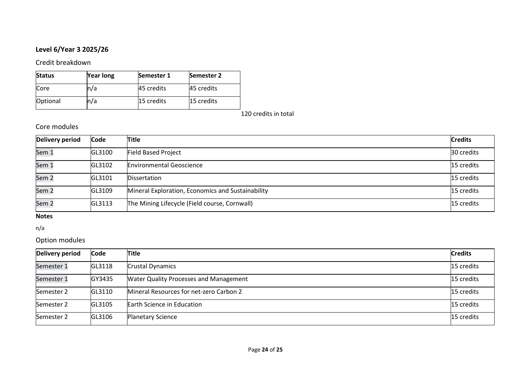# **Level 6/Year 3 2025/26**

Credit breakdown

| <b>Status</b> | <b>Year long</b> | Semester 1 | <b>Semester 2</b> |
|---------------|------------------|------------|-------------------|
| Core          | n/a              | 45 credits | 45 credits        |
| Optional      | n/a              | 15 credits | <b>15 credits</b> |

120 credits in total

## Core modules

| Delivery period  | <b>Code</b> | <b>Title</b>                                      | <b>Credits</b> |
|------------------|-------------|---------------------------------------------------|----------------|
| Sem 1            | GL3100      | <b>Field Based Project</b>                        | 30 credits     |
| Sem 1            | GL3102      | <b>Environmental Geoscience</b>                   | 15 credits     |
| Sem <sub>2</sub> | GL3101      | <b>Dissertation</b>                               | 15 credits     |
| Sem <sub>2</sub> | GL3109      | Mineral Exploration, Economics and Sustainability | 15 credits     |
| Sem <sub>2</sub> | GL3113      | The Mining Lifecycle (Field course, Cornwall)     | 15 credits     |

## **Notes**

n/a

## Option modules

| <b>Delivery period</b> | <b>Code</b> | Title                                         | <b>Credits</b> |
|------------------------|-------------|-----------------------------------------------|----------------|
| Semester 1             | GL3118      | <b>Crustal Dynamics</b>                       | 15 credits     |
| Semester 1             | GY3435      | <b>Water Quality Processes and Management</b> | 15 credits     |
| Semester 2             | GL3110      | Mineral Resources for net-zero Carbon 2       | 15 credits     |
| Semester 2             | GL3105      | Earth Science in Education                    | 15 credits     |
| Semester 2             | GL3106      | <b>Planetary Science</b>                      | 15 credits     |